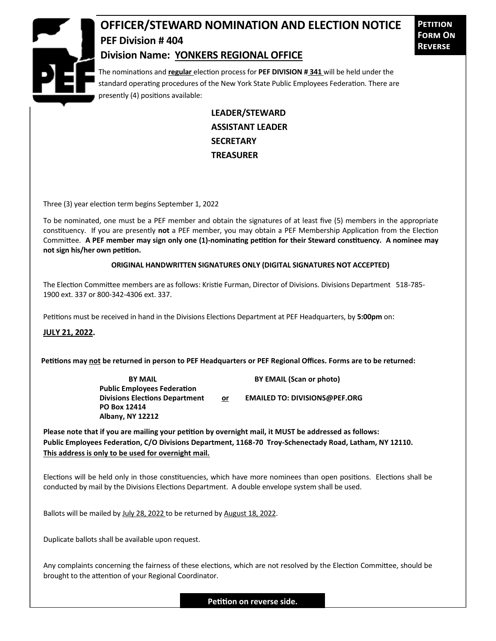

## **OFFICER/STEWARD NOMINATION AND ELECTION NOTICE PEF Division # 404**

**Petition Form On Reverse**

## **Division Name: YONKERS REGIONAL OFFICE**

The nominations and **regular** election process for **PEF DIVISION # 341** will be held under the standard operating procedures of the New York State Public Employees Federation. There are presently (4) positions available:

> **LEADER/STEWARD ASSISTANT LEADER SECRETARY TREASURER**

Three (3) year election term begins September 1, 2022

To be nominated, one must be a PEF member and obtain the signatures of at least five (5) members in the appropriate constituency. If you are presently **not** a PEF member, you may obtain a PEF Membership Application from the Election Committee. **A PEF member may sign only one (1)-nominating petition for their Steward constituency. A nominee may not sign his/her own petition.**

## **ORIGINAL HANDWRITTEN SIGNATURES ONLY (DIGITAL SIGNATURES NOT ACCEPTED)**

The Election Committee members are as follows: Kristie Furman, Director of Divisions. Divisions Department 518-785- 1900 ext. 337 or 800-342-4306 ext. 337.

Petitions must be received in hand in the Divisions Elections Department at PEF Headquarters, by **5:00pm** on:

**JULY 21, 2022.**

**Petitions may not be returned in person to PEF Headquarters or PEF Regional Offices. Forms are to be returned:**

**Public Employees Federation PO Box 12414 Albany, NY 12212**

**BY MAIL BY EMAIL (Scan or photo)** 

**Divisions Elections Department or EMAILED TO: DIVISIONS@PEF.ORG**

**Please note that if you are mailing your petition by overnight mail, it MUST be addressed as follows: Public Employees Federation, C/O Divisions Department, 1168-70 Troy-Schenectady Road, Latham, NY 12110. This address is only to be used for overnight mail.**

Elections will be held only in those constituencies, which have more nominees than open positions. Elections shall be conducted by mail by the Divisions Elections Department. A double envelope system shall be used.

Ballots will be mailed by July 28, 2022 to be returned by August 18, 2022.

Duplicate ballots shall be available upon request.

Any complaints concerning the fairness of these elections, which are not resolved by the Election Committee, should be brought to the attention of your Regional Coordinator.

**Petition on reverse side.**